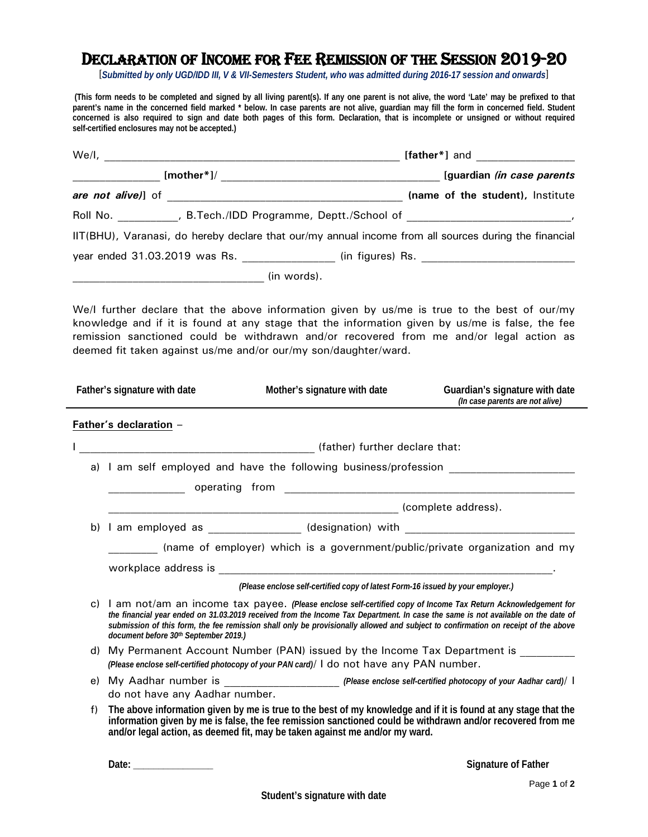## DECLARATION OF INCOME FOR FEE REMISSION OF THE SESSION 2019-20

[*Submitted by only UGD/IDD III, V & VII-Semesters Student, who was admitted during 2016-17 session and onwards*]

 **(This form needs to be completed and signed by all living parent(s). If any one parent is not alive, the word 'Late' may be prefixed to that parent's name in the concerned field marked \* below. In case parents are not alive, guardian may fill the form in concerned field. Student concerned is also required to sign and date both pages of this form. Declaration, that is incomplete or unsigned or without required self-certified enclosures may not be accepted.)** 

|    |                                       |                                                                                                                                                                                                                                      | Roll No. ____________, B.Tech./IDD Programme, Deptt./School of _________________________,                                                                                                                                                                                                                                                                                               |
|----|---------------------------------------|--------------------------------------------------------------------------------------------------------------------------------------------------------------------------------------------------------------------------------------|-----------------------------------------------------------------------------------------------------------------------------------------------------------------------------------------------------------------------------------------------------------------------------------------------------------------------------------------------------------------------------------------|
|    |                                       |                                                                                                                                                                                                                                      | IIT(BHU), Varanasi, do hereby declare that our/my annual income from all sources during the financial                                                                                                                                                                                                                                                                                   |
|    |                                       |                                                                                                                                                                                                                                      |                                                                                                                                                                                                                                                                                                                                                                                         |
|    |                                       |                                                                                                                                                                                                                                      |                                                                                                                                                                                                                                                                                                                                                                                         |
|    |                                       | deemed fit taken against us/me and/or our/my son/daughter/ward.                                                                                                                                                                      | We/I further declare that the above information given by us/me is true to the best of our/my<br>knowledge and if it is found at any stage that the information given by us/me is false, the fee<br>remission sanctioned could be withdrawn and/or recovered from me and/or legal action as                                                                                              |
|    | Father's signature with date          | Mother's signature with date                                                                                                                                                                                                         | Guardian's signature with date<br>(In case parents are not alive)                                                                                                                                                                                                                                                                                                                       |
|    | Father's declaration -                | (father) further declare that:                                                                                                                                                                                                       |                                                                                                                                                                                                                                                                                                                                                                                         |
|    |                                       |                                                                                                                                                                                                                                      | a) I am self employed and have the following business/profession                                                                                                                                                                                                                                                                                                                        |
|    |                                       | operating from <b>example and the contract of the contract of the contract of the contract of the contract of the contract of the contract of the contract of the contract of the contract of the contract of the contract of th</b> |                                                                                                                                                                                                                                                                                                                                                                                         |
|    |                                       |                                                                                                                                                                                                                                      |                                                                                                                                                                                                                                                                                                                                                                                         |
|    |                                       |                                                                                                                                                                                                                                      |                                                                                                                                                                                                                                                                                                                                                                                         |
|    |                                       |                                                                                                                                                                                                                                      | (name of employer) which is a government/public/private organization and my                                                                                                                                                                                                                                                                                                             |
|    |                                       |                                                                                                                                                                                                                                      |                                                                                                                                                                                                                                                                                                                                                                                         |
|    |                                       | (Please enclose self-certified copy of latest Form-16 issued by your employer.)                                                                                                                                                      |                                                                                                                                                                                                                                                                                                                                                                                         |
| C) | document before 30th September 2019.) |                                                                                                                                                                                                                                      | I am not/am an income tax payee. (Please enclose self-certified copy of Income Tax Return Acknowledgement for<br>the financial year ended on 31.03.2019 received from the Income Tax Department. In case the same is not available on the date of<br>submission of this form, the fee remission shall only be provisionally allowed and subject to confirmation on receipt of the above |
|    |                                       |                                                                                                                                                                                                                                      | d) My Permanent Account Number (PAN) issued by the Income Tax Department is                                                                                                                                                                                                                                                                                                             |
|    |                                       | (Please enclose self-certified photocopy of your PAN card)/ I do not have any PAN number.                                                                                                                                            |                                                                                                                                                                                                                                                                                                                                                                                         |
|    | do not have any Aadhar number.        |                                                                                                                                                                                                                                      | e) My Aadhar number is _____________________ (Please enclose self-certified photocopy of your Aadhar card)/ I                                                                                                                                                                                                                                                                           |
| f) |                                       | and/or legal action, as deemed fit, may be taken against me and/or my ward.                                                                                                                                                          | The above information given by me is true to the best of my knowledge and if it is found at any stage that the<br>information given by me is false, the fee remission sanctioned could be withdrawn and/or recovered from me                                                                                                                                                            |

 **Date: \_\_\_\_\_\_\_\_\_\_\_\_\_\_\_\_ Signature of Father**